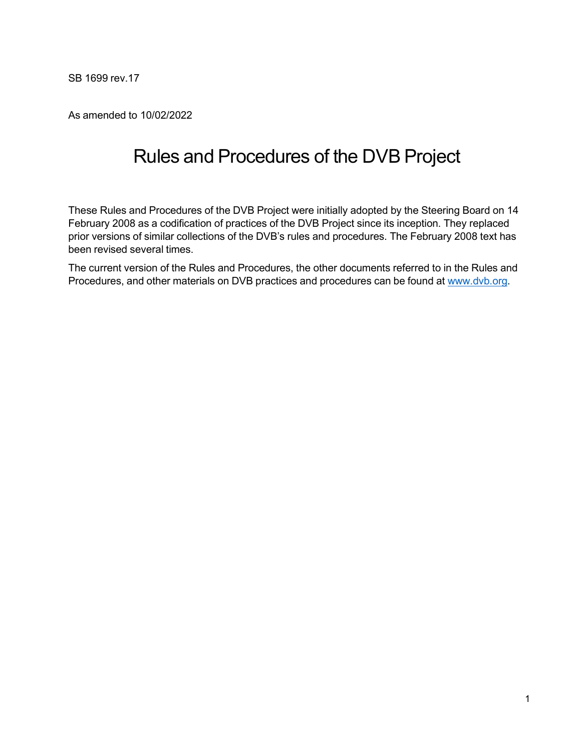SB 1699 rev.17

As amended to 10/02/2022

# Rules and Procedures of the DVB Project

These Rules and Procedures of the DVB Project were initially adopted by the Steering Board on 14 February 2008 as a codification of practices of the DVB Project since its inception. They replaced prior versions of similar collections of the DVB's rules and procedures. The February 2008 text has been revised several times.

The current version of the Rules and Procedures, the other documents referred to in the Rules and Procedures, and other materials on DVB practices and procedures can be found at [www.dvb.org.](http://www.dvb.org/)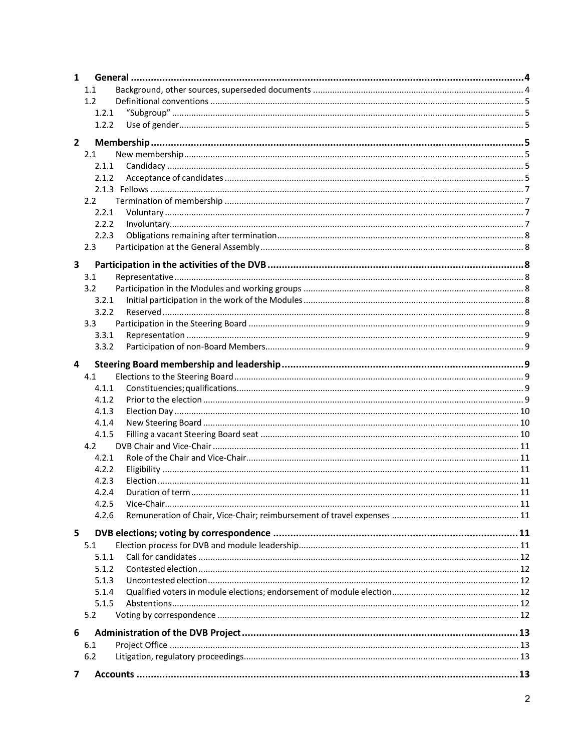| $\mathbf{1}$ |                  |  |  |  |
|--------------|------------------|--|--|--|
|              | 1.1              |  |  |  |
|              | 1.2              |  |  |  |
|              | 1.2.1            |  |  |  |
|              | 1.2.2            |  |  |  |
|              |                  |  |  |  |
| $\mathbf{2}$ |                  |  |  |  |
|              | 2.1              |  |  |  |
|              | 2.1.1            |  |  |  |
|              | 2.1.2            |  |  |  |
|              |                  |  |  |  |
|              | 2.2              |  |  |  |
|              | 2.2.1            |  |  |  |
|              | 2.2.2            |  |  |  |
|              | 2.2.3            |  |  |  |
|              | 2.3              |  |  |  |
| 3            |                  |  |  |  |
|              | 3.1              |  |  |  |
|              | 3.2              |  |  |  |
|              | 3.2.1            |  |  |  |
|              | 3.2.2            |  |  |  |
|              | 3.3 <sub>1</sub> |  |  |  |
|              | 3.3.1            |  |  |  |
|              | 3.3.2            |  |  |  |
|              |                  |  |  |  |
| 4            |                  |  |  |  |
|              | 4.1              |  |  |  |
|              | 4.1.1            |  |  |  |
|              | 4.1.2            |  |  |  |
|              | 4.1.3            |  |  |  |
|              | 4.1.4            |  |  |  |
|              | 4.1.5            |  |  |  |
|              | 4.2              |  |  |  |
|              | 4.2.1            |  |  |  |
|              | 4.2.2            |  |  |  |
|              | 4.2.3            |  |  |  |
|              | 4.2.4            |  |  |  |
|              | 4.2.5            |  |  |  |
|              | 4.2.6            |  |  |  |
| 5            |                  |  |  |  |
|              | 5.1              |  |  |  |
|              | 5.1.1            |  |  |  |
|              | 5.1.2            |  |  |  |
|              | 5.1.3            |  |  |  |
|              | 5.1.4            |  |  |  |
|              | 5.1.5            |  |  |  |
|              | 5.2              |  |  |  |
|              |                  |  |  |  |
| 6            |                  |  |  |  |
|              | 6.1              |  |  |  |
|              | $6.2$            |  |  |  |
| 7            |                  |  |  |  |
|              |                  |  |  |  |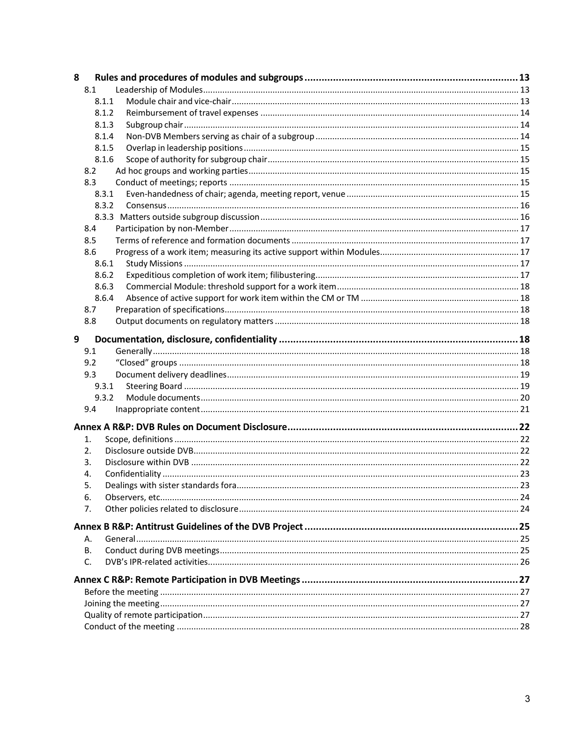| 8 |       |  |
|---|-------|--|
|   | 8.1   |  |
|   | 8.1.1 |  |
|   | 8.1.2 |  |
|   | 8.1.3 |  |
|   | 8.1.4 |  |
|   | 8.1.5 |  |
|   | 8.1.6 |  |
|   | 8.2   |  |
|   | 8.3   |  |
|   | 8.3.1 |  |
|   | 8.3.2 |  |
|   |       |  |
|   | 8.4   |  |
|   | 8.5   |  |
|   | 8.6   |  |
|   | 8.6.1 |  |
|   | 8.6.2 |  |
|   | 8.6.3 |  |
|   | 8.6.4 |  |
|   | 8.7   |  |
|   | 8.8   |  |
|   |       |  |
| 9 |       |  |
|   | 9.1   |  |
|   | 9.2   |  |
|   | 9.3   |  |
|   | 9.3.1 |  |
|   | 9.3.2 |  |
|   | 9.4   |  |
|   |       |  |
|   | 1.    |  |
|   | 2.    |  |
|   | 3.    |  |
|   | 4.    |  |
|   | 5.    |  |
|   | 6.    |  |
|   | 7.    |  |
|   |       |  |
|   |       |  |
|   | А.    |  |
|   | В.    |  |
|   | C.    |  |
|   |       |  |
|   |       |  |
|   |       |  |
|   |       |  |
|   |       |  |
|   |       |  |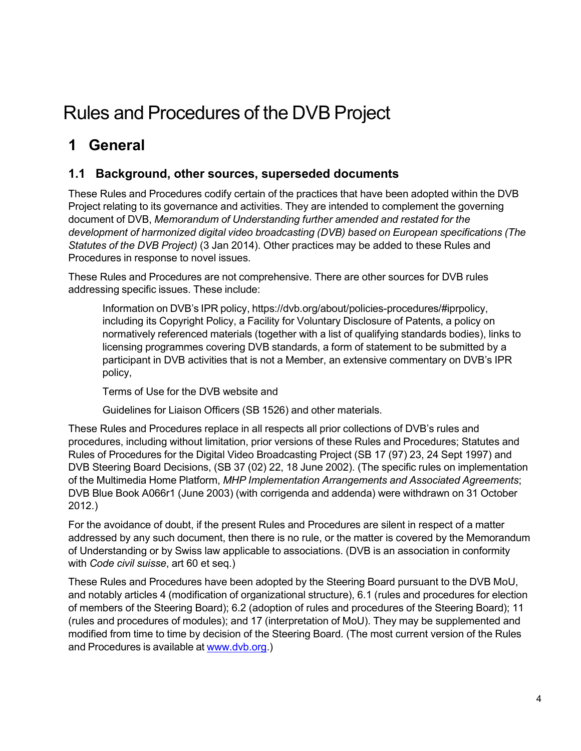# Rules and Procedures of the DVB Project

# <span id="page-3-0"></span>**1 General**

## <span id="page-3-1"></span>**1.1 Background, other sources, superseded documents**

These Rules and Procedures codify certain of the practices that have been adopted within the DVB Project relating to its governance and activities. They are intended to complement the governing document of DVB, *Memorandum of Understanding further amended and restated for the development of harmonized digital video broadcasting (DVB) based on European specifications (The Statutes of the DVB Project)* (3 Jan 2014). Other practices may be added to these Rules and Procedures in response to novel issues.

These Rules and Procedures are not comprehensive. There are other sources for DVB rules addressing specific issues. These include:

Information on DVB's IPR policy, https://dvb.org/about/policies-procedures/#iprpolicy, including its Copyright Policy, a Facility for Voluntary Disclosure of Patents, a policy on normatively referenced materials (together with a list of qualifying standards bodies), links to licensing programmes covering DVB standards, a form of statement to be submitted by a participant in DVB activities that is not a Member, an extensive commentary on DVB's IPR policy,

Terms of Use for the DVB website and

Guidelines for Liaison Officers (SB 1526) and other materials.

These Rules and Procedures replace in all respects all prior collections of DVB's rules and procedures, including without limitation, prior versions of these Rules and Procedures; Statutes and Rules of Procedures for the Digital Video Broadcasting Project (SB 17 (97) 23, 24 Sept 1997) and DVB Steering Board Decisions, (SB 37 (02) 22, 18 June 2002). (The specific rules on implementation of the Multimedia Home Platform, *MHP Implementation Arrangements and Associated Agreements*; DVB Blue Book A066r1 (June 2003) (with corrigenda and addenda) were withdrawn on 31 October 2012.)

For the avoidance of doubt, if the present Rules and Procedures are silent in respect of a matter addressed by any such document, then there is no rule, or the matter is covered by the Memorandum of Understanding or by Swiss law applicable to associations. (DVB is an association in conformity with *Code civil suisse*, art 60 et seq.)

These Rules and Procedures have been adopted by the Steering Board pursuant to the DVB MoU, and notably articles 4 (modification of organizational structure), 6.1 (rules and procedures for election of members of the Steering Board); 6.2 (adoption of rules and procedures of the Steering Board); 11 (rules and procedures of modules); and 17 (interpretation of MoU). They may be supplemented and modified from time to time by decision of the Steering Board. (The most current version of the Rules and Procedures is available at [www.dvb.org.](http://www.dvb.org/))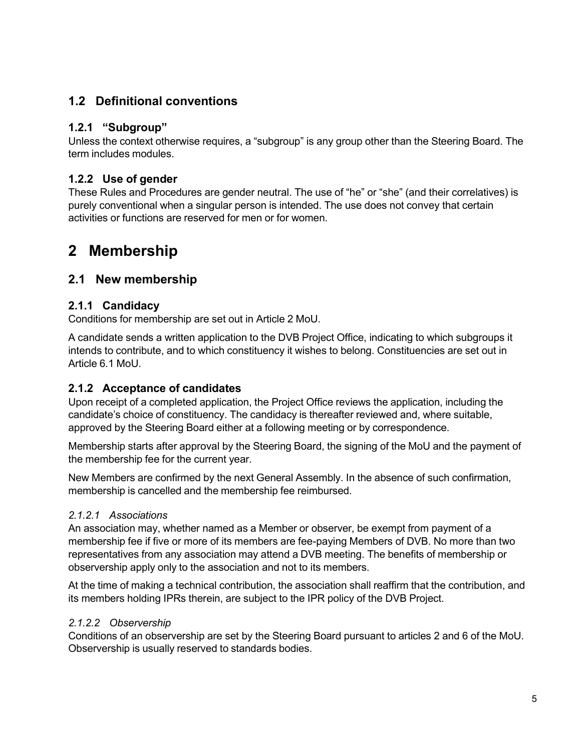## <span id="page-4-0"></span>**1.2 Definitional conventions**

#### <span id="page-4-1"></span>**1.2.1 "Subgroup"**

Unless the context otherwise requires, a "subgroup" is any group other than the Steering Board. The term includes modules.

#### <span id="page-4-2"></span>**1.2.2 Use of gender**

These Rules and Procedures are gender neutral. The use of "he" or "she" (and their correlatives) is purely conventional when a singular person is intended. The use does not convey that certain activities or functions are reserved for men or for women.

## <span id="page-4-3"></span>**2 Membership**

#### <span id="page-4-4"></span>**2.1 New membership**

#### <span id="page-4-5"></span>**2.1.1 Candidacy**

Conditions for membership are set out in Article 2 MoU.

A candidate sends a written application to the DVB Project Office, indicating to which subgroups it intends to contribute, and to which constituency it wishes to belong. Constituencies are set out in Article 6.1 MoU.

#### <span id="page-4-6"></span>**2.1.2 Acceptance of candidates**

Upon receipt of a completed application, the Project Office reviews the application, including the candidate's choice of constituency. The candidacy is thereafter reviewed and, where suitable, approved by the Steering Board either at a following meeting or by correspondence.

Membership starts after approval by the Steering Board, the signing of the MoU and the payment of the membership fee for the current year.

New Members are confirmed by the next General Assembly. In the absence of such confirmation, membership is cancelled and the membership fee reimbursed.

#### *2.1.2.1 Associations*

An association may, whether named as a Member or observer, be exempt from payment of a membership fee if five or more of its members are fee-paying Members of DVB. No more than two representatives from any association may attend a DVB meeting. The benefits of membership or observership apply only to the association and not to its members.

At the time of making a technical contribution, the association shall reaffirm that the contribution, and its members holding IPRs therein, are subject to the IPR policy of the DVB Project.

#### *2.1.2.2 Observership*

Conditions of an observership are set by the Steering Board pursuant to articles 2 and 6 of the MoU. Observership is usually reserved to standards bodies.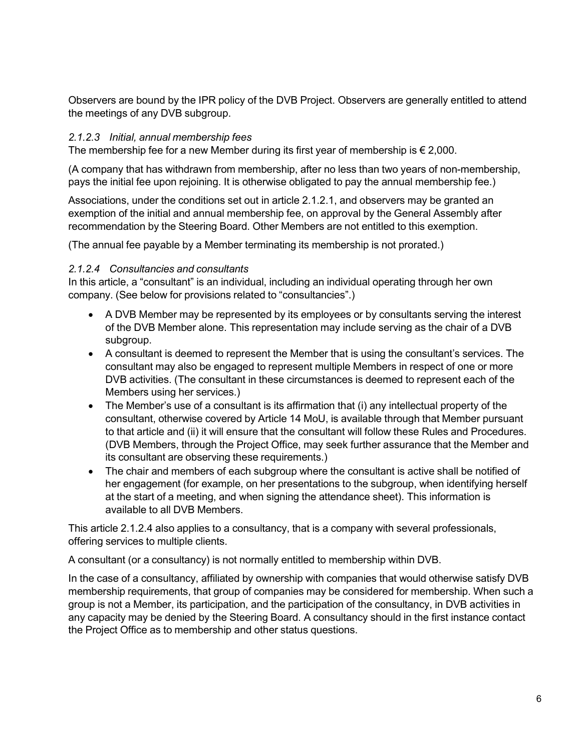Observers are bound by the IPR policy of the DVB Project. Observers are generally entitled to attend the meetings of any DVB subgroup.

#### *2.1.2.3 Initial, annual membership fees*

The membership fee for a new Member during its first year of membership is  $\epsilon$  2,000.

(A company that has withdrawn from membership, after no less than two years of non-membership, pays the initial fee upon rejoining. It is otherwise obligated to pay the annual membership fee.)

Associations, under the conditions set out in article 2.1.2.1, and observers may be granted an exemption of the initial and annual membership fee, on approval by the General Assembly after recommendation by the Steering Board. Other Members are not entitled to this exemption.

(The annual fee payable by a Member terminating its membership is not prorated.)

#### *2.1.2.4 Consultancies and consultants*

In this article, a "consultant" is an individual, including an individual operating through her own company. (See below for provisions related to "consultancies".)

- A DVB Member may be represented by its employees or by consultants serving the interest of the DVB Member alone. This representation may include serving as the chair of a DVB subgroup.
- A consultant is deemed to represent the Member that is using the consultant's services. The consultant may also be engaged to represent multiple Members in respect of one or more DVB activities. (The consultant in these circumstances is deemed to represent each of the Members using her services.)
- The Member's use of a consultant is its affirmation that (i) any intellectual property of the consultant, otherwise covered by Article 14 MoU, is available through that Member pursuant to that article and (ii) it will ensure that the consultant will follow these Rules and Procedures. (DVB Members, through the Project Office, may seek further assurance that the Member and its consultant are observing these requirements.)
- The chair and members of each subgroup where the consultant is active shall be notified of her engagement (for example, on her presentations to the subgroup, when identifying herself at the start of a meeting, and when signing the attendance sheet). This information is available to all DVB Members.

This article 2.1.2.4 also applies to a consultancy, that is a company with several professionals, offering services to multiple clients.

A consultant (or a consultancy) is not normally entitled to membership within DVB.

In the case of a consultancy, affiliated by ownership with companies that would otherwise satisfy DVB membership requirements, that group of companies may be considered for membership. When such a group is not a Member, its participation, and the participation of the consultancy, in DVB activities in any capacity may be denied by the Steering Board. A consultancy should in the first instance contact the Project Office as to membership and other status questions.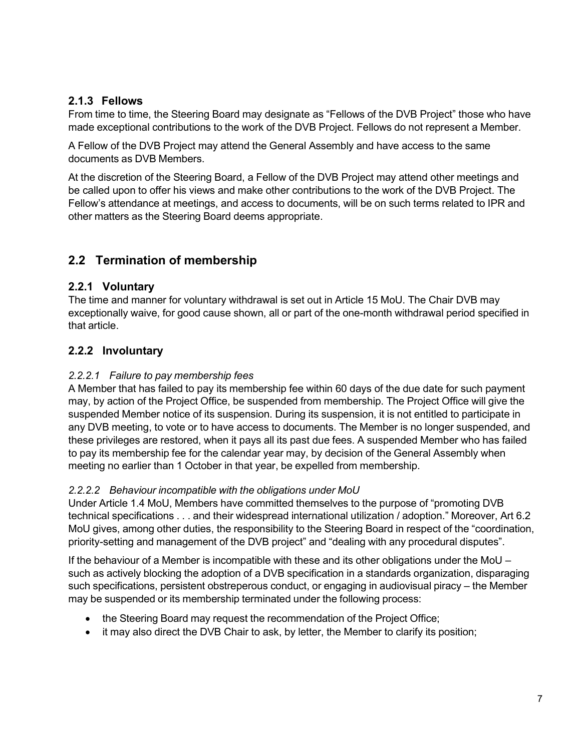#### <span id="page-6-0"></span>**2.1.3 Fellows**

From time to time, the Steering Board may designate as "Fellows of the DVB Project" those who have made exceptional contributions to the work of the DVB Project. Fellows do not represent a Member.

A Fellow of the DVB Project may attend the General Assembly and have access to the same documents as DVB Members.

At the discretion of the Steering Board, a Fellow of the DVB Project may attend other meetings and be called upon to offer his views and make other contributions to the work of the DVB Project. The Fellow's attendance at meetings, and access to documents, will be on such terms related to IPR and other matters as the Steering Board deems appropriate.

## <span id="page-6-1"></span>**2.2 Termination of membership**

#### <span id="page-6-2"></span>**2.2.1 Voluntary**

The time and manner for voluntary withdrawal is set out in Article 15 MoU. The Chair DVB may exceptionally waive, for good cause shown, all or part of the one-month withdrawal period specified in that article.

#### <span id="page-6-3"></span>**2.2.2 Involuntary**

#### *2.2.2.1 Failure to pay membership fees*

A Member that has failed to pay its membership fee within 60 days of the due date for such payment may, by action of the Project Office, be suspended from membership. The Project Office will give the suspended Member notice of its suspension. During its suspension, it is not entitled to participate in any DVB meeting, to vote or to have access to documents. The Member is no longer suspended, and these privileges are restored, when it pays all its past due fees. A suspended Member who has failed to pay its membership fee for the calendar year may, by decision of the General Assembly when meeting no earlier than 1 October in that year, be expelled from membership.

#### *2.2.2.2 Behaviour incompatible with the obligations under MoU*

Under Article 1.4 MoU, Members have committed themselves to the purpose of "promoting DVB technical specifications . . . and their widespread international utilization / adoption." Moreover, Art 6.2 MoU gives, among other duties, the responsibility to the Steering Board in respect of the "coordination, priority-setting and management of the DVB project" and "dealing with any procedural disputes".

If the behaviour of a Member is incompatible with these and its other obligations under the MoU – such as actively blocking the adoption of a DVB specification in a standards organization, disparaging such specifications, persistent obstreperous conduct, or engaging in audiovisual piracy – the Member may be suspended or its membership terminated under the following process:

- the Steering Board may request the recommendation of the Project Office;
- it may also direct the DVB Chair to ask, by letter, the Member to clarify its position;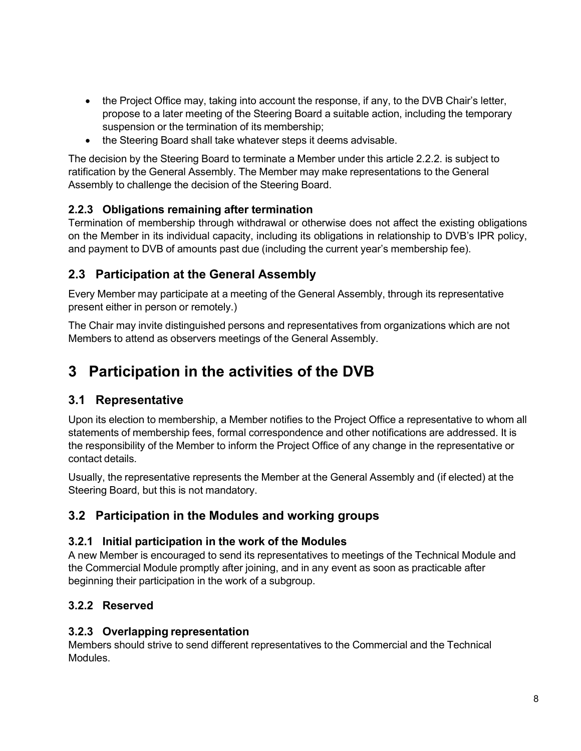- the Project Office may, taking into account the response, if any, to the DVB Chair's letter, propose to a later meeting of the Steering Board a suitable action, including the temporary suspension or the termination of its membership;
- the Steering Board shall take whatever steps it deems advisable.

The decision by the Steering Board to terminate a Member under this article 2.2.2. is subject to ratification by the General Assembly. The Member may make representations to the General Assembly to challenge the decision of the Steering Board.

## <span id="page-7-0"></span>**2.2.3 Obligations remaining after termination**

Termination of membership through withdrawal or otherwise does not affect the existing obligations on the Member in its individual capacity, including its obligations in relationship to DVB's IPR policy, and payment to DVB of amounts past due (including the current year's membership fee).

## <span id="page-7-1"></span>**2.3 Participation at the General Assembly**

Every Member may participate at a meeting of the General Assembly, through its representative present either in person or remotely.)

The Chair may invite distinguished persons and representatives from organizations which are not Members to attend as observers meetings of the General Assembly.

# <span id="page-7-2"></span>**3 Participation in the activities of the DVB**

## <span id="page-7-3"></span>**3.1 Representative**

Upon its election to membership, a Member notifies to the Project Office a representative to whom all statements of membership fees, formal correspondence and other notifications are addressed. It is the responsibility of the Member to inform the Project Office of any change in the representative or contact details.

Usually, the representative represents the Member at the General Assembly and (if elected) at the Steering Board, but this is not mandatory.

## <span id="page-7-4"></span>**3.2 Participation in the Modules and working groups**

#### <span id="page-7-5"></span>**3.2.1 Initial participation in the work of the Modules**

A new Member is encouraged to send its representatives to meetings of the Technical Module and the Commercial Module promptly after joining, and in any event as soon as practicable after beginning their participation in the work of a subgroup.

## <span id="page-7-6"></span>**3.2.2 Reserved**

#### **3.2.3 Overlapping representation**

Members should strive to send different representatives to the Commercial and the Technical Modules.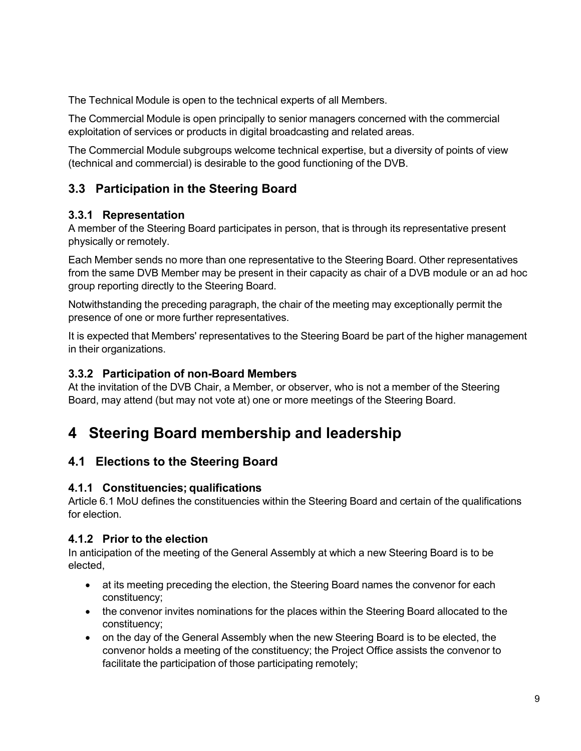The Technical Module is open to the technical experts of all Members.

The Commercial Module is open principally to senior managers concerned with the commercial exploitation of services or products in digital broadcasting and related areas.

The Commercial Module subgroups welcome technical expertise, but a diversity of points of view (technical and commercial) is desirable to the good functioning of the DVB.

## <span id="page-8-0"></span>**3.3 Participation in the Steering Board**

#### <span id="page-8-1"></span>**3.3.1 Representation**

A member of the Steering Board participates in person, that is through its representative present physically or remotely.

Each Member sends no more than one representative to the Steering Board. Other representatives from the same DVB Member may be present in their capacity as chair of a DVB module or an ad hoc group reporting directly to the Steering Board.

Notwithstanding the preceding paragraph, the chair of the meeting may exceptionally permit the presence of one or more further representatives.

It is expected that Members' representatives to the Steering Board be part of the higher management in their organizations.

#### <span id="page-8-2"></span>**3.3.2 Participation of non-Board Members**

At the invitation of the DVB Chair, a Member, or observer, who is not a member of the Steering Board, may attend (but may not vote at) one or more meetings of the Steering Board.

## <span id="page-8-3"></span>**4 Steering Board membership and leadership**

## <span id="page-8-4"></span>**4.1 Elections to the Steering Board**

#### <span id="page-8-5"></span>**4.1.1 Constituencies; qualifications**

Article 6.1 MoU defines the constituencies within the Steering Board and certain of the qualifications for election.

#### <span id="page-8-6"></span>**4.1.2 Prior to the election**

In anticipation of the meeting of the General Assembly at which a new Steering Board is to be elected,

- at its meeting preceding the election, the Steering Board names the convenor for each constituency;
- the convenor invites nominations for the places within the Steering Board allocated to the constituency;
- on the day of the General Assembly when the new Steering Board is to be elected, the convenor holds a meeting of the constituency; the Project Office assists the convenor to facilitate the participation of those participating remotely;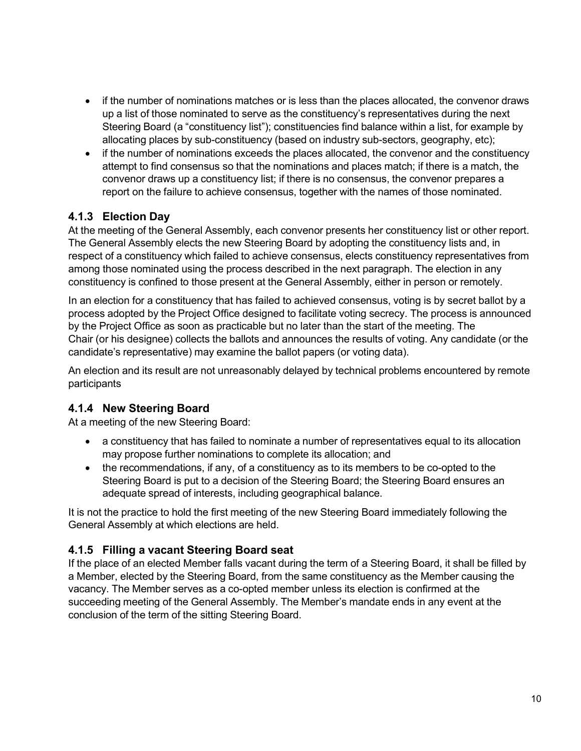- if the number of nominations matches or is less than the places allocated, the convenor draws up a list of those nominated to serve as the constituency's representatives during the next Steering Board (a "constituency list"); constituencies find balance within a list, for example by allocating places by sub-constituency (based on industry sub-sectors, geography, etc);
- if the number of nominations exceeds the places allocated, the convenor and the constituency attempt to find consensus so that the nominations and places match; if there is a match, the convenor draws up a constituency list; if there is no consensus, the convenor prepares a report on the failure to achieve consensus, together with the names of those nominated.

#### <span id="page-9-0"></span>**4.1.3 Election Day**

At the meeting of the General Assembly, each convenor presents her constituency list or other report. The General Assembly elects the new Steering Board by adopting the constituency lists and, in respect of a constituency which failed to achieve consensus, elects constituency representatives from among those nominated using the process described in the next paragraph. The election in any constituency is confined to those present at the General Assembly, either in person or remotely.

In an election for a constituency that has failed to achieved consensus, voting is by secret ballot by a process adopted by the Project Office designed to facilitate voting secrecy. The process is announced by the Project Office as soon as practicable but no later than the start of the meeting. The Chair (or his designee) collects the ballots and announces the results of voting. Any candidate (or the candidate's representative) may examine the ballot papers (or voting data).

An election and its result are not unreasonably delayed by technical problems encountered by remote participants

#### <span id="page-9-1"></span>**4.1.4 New Steering Board**

At a meeting of the new Steering Board:

- a constituency that has failed to nominate a number of representatives equal to its allocation may propose further nominations to complete its allocation; and
- the recommendations, if any, of a constituency as to its members to be co-opted to the Steering Board is put to a decision of the Steering Board; the Steering Board ensures an adequate spread of interests, including geographical balance.

It is not the practice to hold the first meeting of the new Steering Board immediately following the General Assembly at which elections are held.

#### <span id="page-9-2"></span>**4.1.5 Filling a vacant Steering Board seat**

If the place of an elected Member falls vacant during the term of a Steering Board, it shall be filled by a Member, elected by the Steering Board, from the same constituency as the Member causing the vacancy. The Member serves as a co-opted member unless its election is confirmed at the succeeding meeting of the General Assembly. The Member's mandate ends in any event at the conclusion of the term of the sitting Steering Board.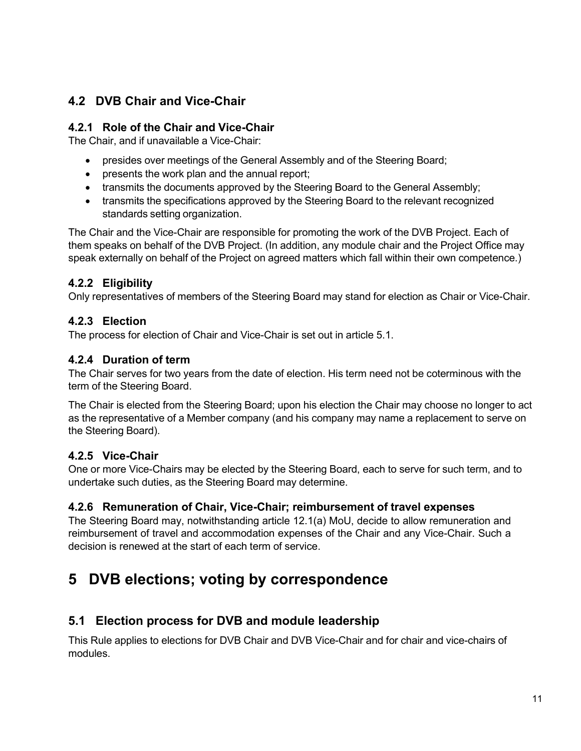## <span id="page-10-0"></span>**4.2 DVB Chair and Vice-Chair**

#### <span id="page-10-1"></span>**4.2.1 Role of the Chair and Vice-Chair**

The Chair, and if unavailable a Vice-Chair:

- presides over meetings of the General Assembly and of the Steering Board;
- presents the work plan and the annual report;
- transmits the documents approved by the Steering Board to the General Assembly;
- transmits the specifications approved by the Steering Board to the relevant recognized standards setting organization.

The Chair and the Vice-Chair are responsible for promoting the work of the DVB Project. Each of them speaks on behalf of the DVB Project. (In addition, any module chair and the Project Office may speak externally on behalf of the Project on agreed matters which fall within their own competence.)

## <span id="page-10-2"></span>**4.2.2 Eligibility**

Only representatives of members of the Steering Board may stand for election as Chair or Vice-Chair.

#### <span id="page-10-3"></span>**4.2.3 Election**

The process for election of Chair and Vice-Chair is set out in article 5.1.

#### <span id="page-10-4"></span>**4.2.4 Duration of term**

The Chair serves for two years from the date of election. His term need not be coterminous with the term of the Steering Board.

The Chair is elected from the Steering Board; upon his election the Chair may choose no longer to act as the representative of a Member company (and his company may name a replacement to serve on the Steering Board).

#### <span id="page-10-5"></span>**4.2.5 Vice-Chair**

One or more Vice-Chairs may be elected by the Steering Board, each to serve for such term, and to undertake such duties, as the Steering Board may determine.

#### <span id="page-10-6"></span>**4.2.6 Remuneration of Chair, Vice-Chair; reimbursement of travel expenses**

The Steering Board may, notwithstanding article 12.1(a) MoU, decide to allow remuneration and reimbursement of travel and accommodation expenses of the Chair and any Vice-Chair. Such a decision is renewed at the start of each term of service.

## <span id="page-10-7"></span>**5 DVB elections; voting by correspondence**

## <span id="page-10-8"></span>**5.1 Election process for DVB and module leadership**

This Rule applies to elections for DVB Chair and DVB Vice-Chair and for chair and vice-chairs of modules.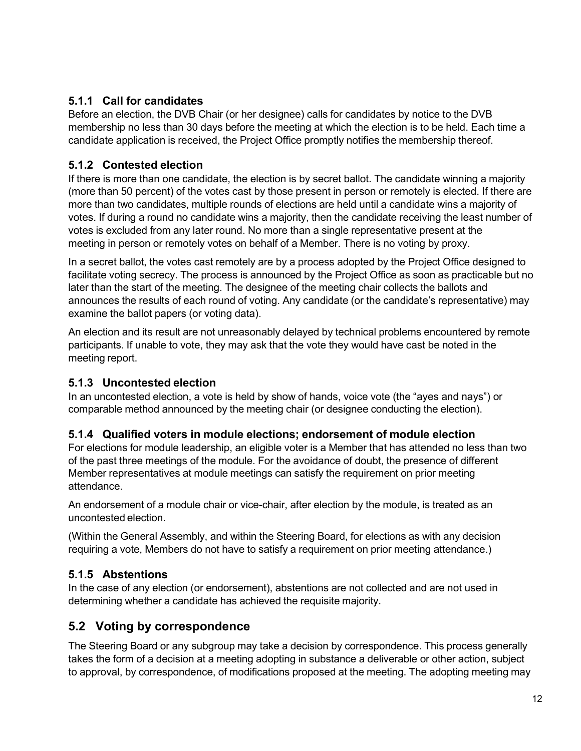### <span id="page-11-0"></span>**5.1.1 Call for candidates**

Before an election, the DVB Chair (or her designee) calls for candidates by notice to the DVB membership no less than 30 days before the meeting at which the election is to be held. Each time a candidate application is received, the Project Office promptly notifies the membership thereof.

#### <span id="page-11-1"></span>**5.1.2 Contested election**

If there is more than one candidate, the election is by secret ballot. The candidate winning a majority (more than 50 percent) of the votes cast by those present in person or remotely is elected. If there are more than two candidates, multiple rounds of elections are held until a candidate wins a majority of votes. If during a round no candidate wins a majority, then the candidate receiving the least number of votes is excluded from any later round. No more than a single representative present at the meeting in person or remotely votes on behalf of a Member. There is no voting by proxy.

In a secret ballot, the votes cast remotely are by a process adopted by the Project Office designed to facilitate voting secrecy. The process is announced by the Project Office as soon as practicable but no later than the start of the meeting. The designee of the meeting chair collects the ballots and announces the results of each round of voting. Any candidate (or the candidate's representative) may examine the ballot papers (or voting data).

An election and its result are not unreasonably delayed by technical problems encountered by remote participants. If unable to vote, they may ask that the vote they would have cast be noted in the meeting report.

## <span id="page-11-2"></span>**5.1.3 Uncontested election**

In an uncontested election, a vote is held by show of hands, voice vote (the "ayes and nays") or comparable method announced by the meeting chair (or designee conducting the election).

## <span id="page-11-3"></span>**5.1.4 Qualified voters in module elections; endorsement of module election**

For elections for module leadership, an eligible voter is a Member that has attended no less than two of the past three meetings of the module. For the avoidance of doubt, the presence of different Member representatives at module meetings can satisfy the requirement on prior meeting attendance.

An endorsement of a module chair or vice-chair, after election by the module, is treated as an uncontested election.

(Within the General Assembly, and within the Steering Board, for elections as with any decision requiring a vote, Members do not have to satisfy a requirement on prior meeting attendance.)

## <span id="page-11-4"></span>**5.1.5 Abstentions**

In the case of any election (or endorsement), abstentions are not collected and are not used in determining whether a candidate has achieved the requisite majority.

## <span id="page-11-5"></span>**5.2 Voting by correspondence**

The Steering Board or any subgroup may take a decision by correspondence. This process generally takes the form of a decision at a meeting adopting in substance a deliverable or other action, subject to approval, by correspondence, of modifications proposed at the meeting. The adopting meeting may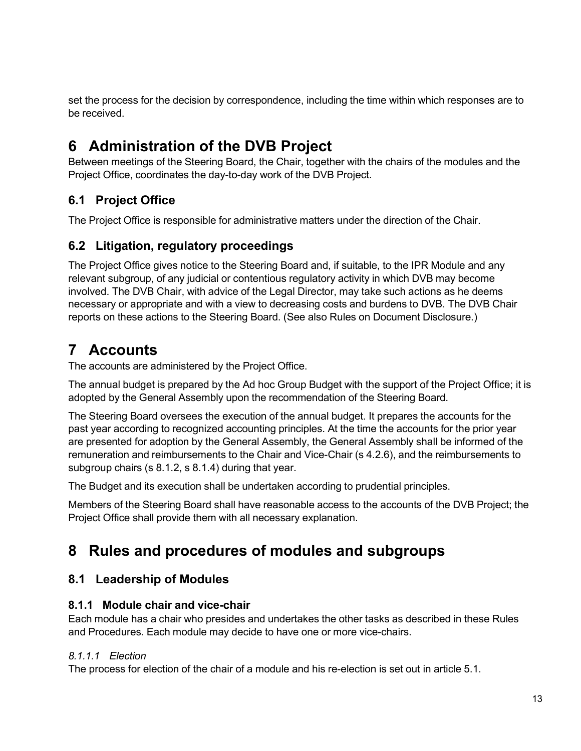set the process for the decision by correspondence, including the time within which responses are to be received.

# <span id="page-12-0"></span>**6 Administration of the DVB Project**

Between meetings of the Steering Board, the Chair, together with the chairs of the modules and the Project Office, coordinates the day-to-day work of the DVB Project.

## <span id="page-12-1"></span>**6.1 Project Office**

The Project Office is responsible for administrative matters under the direction of the Chair.

## <span id="page-12-2"></span>**6.2 Litigation, regulatory proceedings**

The Project Office gives notice to the Steering Board and, if suitable, to the IPR Module and any relevant subgroup, of any judicial or contentious regulatory activity in which DVB may become involved. The DVB Chair, with advice of the Legal Director, may take such actions as he deems necessary or appropriate and with a view to decreasing costs and burdens to DVB. The DVB Chair reports on these actions to the Steering Board. (See also Rules on Document Disclosure.)

# <span id="page-12-3"></span>**7 Accounts**

The accounts are administered by the Project Office.

The annual budget is prepared by the Ad hoc Group Budget with the support of the Project Office; it is adopted by the General Assembly upon the recommendation of the Steering Board.

The Steering Board oversees the execution of the annual budget. It prepares the accounts for the past year according to recognized accounting principles. At the time the accounts for the prior year are presented for adoption by the General Assembly, the General Assembly shall be informed of the remuneration and reimbursements to the Chair and Vice-Chair (s 4.2.6), and the reimbursements to subgroup chairs (s 8.1.2, s 8.1.4) during that year.

The Budget and its execution shall be undertaken according to prudential principles.

Members of the Steering Board shall have reasonable access to the accounts of the DVB Project; the Project Office shall provide them with all necessary explanation.

# <span id="page-12-4"></span>**8 Rules and procedures of modules and subgroups**

## <span id="page-12-5"></span>**8.1 Leadership of Modules**

## <span id="page-12-6"></span>**8.1.1 Module chair and vice-chair**

Each module has a chair who presides and undertakes the other tasks as described in these Rules and Procedures. Each module may decide to have one or more vice-chairs.

## *8.1.1.1 Election*

The process for election of the chair of a module and his re-election is set out in article 5.1.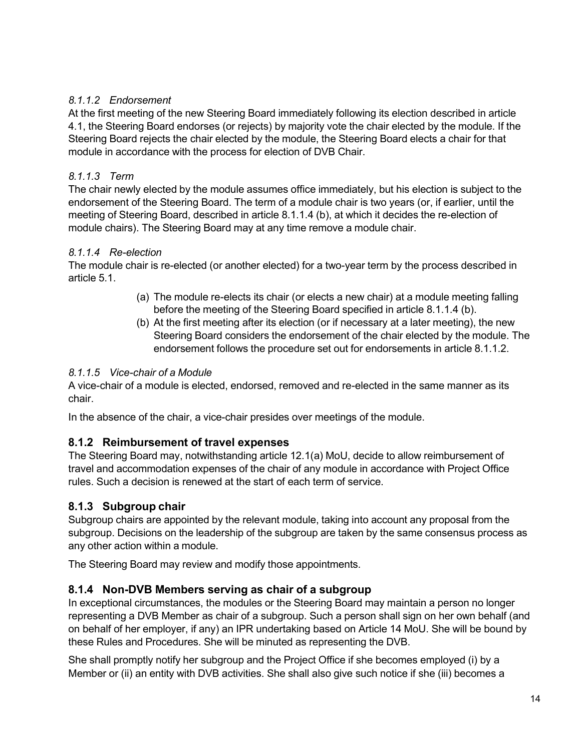#### *8.1.1.2 Endorsement*

At the first meeting of the new Steering Board immediately following its election described in article 4.1, the Steering Board endorses (or rejects) by majority vote the chair elected by the module. If the Steering Board rejects the chair elected by the module, the Steering Board elects a chair for that module in accordance with the process for election of DVB Chair.

#### *8.1.1.3 Term*

The chair newly elected by the module assumes office immediately, but his election is subject to the endorsement of the Steering Board. The term of a module chair is two years (or, if earlier, until the meeting of Steering Board, described in article 8.1.1.4 (b), at which it decides the re-election of module chairs). The Steering Board may at any time remove a module chair.

#### *8.1.1.4 Re-election*

The module chair is re-elected (or another elected) for a two-year term by the process described in article 5.1.

- (a) The module re-elects its chair (or elects a new chair) at a module meeting falling before the meeting of the Steering Board specified in article 8.1.1.4 (b).
- (b) At the first meeting after its election (or if necessary at a later meeting), the new Steering Board considers the endorsement of the chair elected by the module. The endorsement follows the procedure set out for endorsements in article 8.1.1.2.

#### *8.1.1.5 Vice-chair of a Module*

A vice-chair of a module is elected, endorsed, removed and re-elected in the same manner as its chair.

In the absence of the chair, a vice-chair presides over meetings of the module.

## <span id="page-13-0"></span>**8.1.2 Reimbursement of travel expenses**

The Steering Board may, notwithstanding article 12.1(a) MoU, decide to allow reimbursement of travel and accommodation expenses of the chair of any module in accordance with Project Office rules. Such a decision is renewed at the start of each term of service.

## <span id="page-13-1"></span>**8.1.3 Subgroup chair**

Subgroup chairs are appointed by the relevant module, taking into account any proposal from the subgroup. Decisions on the leadership of the subgroup are taken by the same consensus process as any other action within a module.

The Steering Board may review and modify those appointments.

## <span id="page-13-2"></span>**8.1.4 Non-DVB Members serving as chair of a subgroup**

In exceptional circumstances, the modules or the Steering Board may maintain a person no longer representing a DVB Member as chair of a subgroup. Such a person shall sign on her own behalf (and on behalf of her employer, if any) an IPR undertaking based on Article 14 MoU. She will be bound by these Rules and Procedures. She will be minuted as representing the DVB.

She shall promptly notify her subgroup and the Project Office if she becomes employed (i) by a Member or (ii) an entity with DVB activities. She shall also give such notice if she (iii) becomes a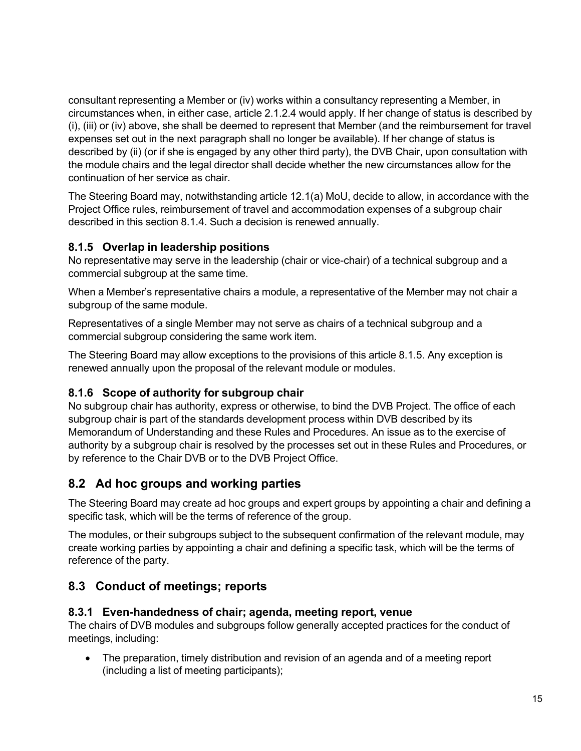consultant representing a Member or (iv) works within a consultancy representing a Member, in circumstances when, in either case, article 2.1.2.4 would apply. If her change of status is described by (i), (iii) or (iv) above, she shall be deemed to represent that Member (and the reimbursement for travel expenses set out in the next paragraph shall no longer be available). If her change of status is described by (ii) (or if she is engaged by any other third party), the DVB Chair, upon consultation with the module chairs and the legal director shall decide whether the new circumstances allow for the continuation of her service as chair.

The Steering Board may, notwithstanding article 12.1(a) MoU, decide to allow, in accordance with the Project Office rules, reimbursement of travel and accommodation expenses of a subgroup chair described in this section 8.1.4. Such a decision is renewed annually.

## <span id="page-14-0"></span>**8.1.5 Overlap in leadership positions**

No representative may serve in the leadership (chair or vice-chair) of a technical subgroup and a commercial subgroup at the same time.

When a Member's representative chairs a module, a representative of the Member may not chair a subgroup of the same module.

Representatives of a single Member may not serve as chairs of a technical subgroup and a commercial subgroup considering the same work item.

The Steering Board may allow exceptions to the provisions of this article 8.1.5. Any exception is renewed annually upon the proposal of the relevant module or modules.

#### <span id="page-14-1"></span>**8.1.6 Scope of authority for subgroup chair**

No subgroup chair has authority, express or otherwise, to bind the DVB Project. The office of each subgroup chair is part of the standards development process within DVB described by its Memorandum of Understanding and these Rules and Procedures. An issue as to the exercise of authority by a subgroup chair is resolved by the processes set out in these Rules and Procedures, or by reference to the Chair DVB or to the DVB Project Office.

## <span id="page-14-2"></span>**8.2 Ad hoc groups and working parties**

The Steering Board may create ad hoc groups and expert groups by appointing a chair and defining a specific task, which will be the terms of reference of the group.

The modules, or their subgroups subject to the subsequent confirmation of the relevant module, may create working parties by appointing a chair and defining a specific task, which will be the terms of reference of the party.

## <span id="page-14-3"></span>**8.3 Conduct of meetings; reports**

#### <span id="page-14-4"></span>**8.3.1 Even-handedness of chair; agenda, meeting report, venue**

The chairs of DVB modules and subgroups follow generally accepted practices for the conduct of meetings, including:

• The preparation, timely distribution and revision of an agenda and of a meeting report (including a list of meeting participants);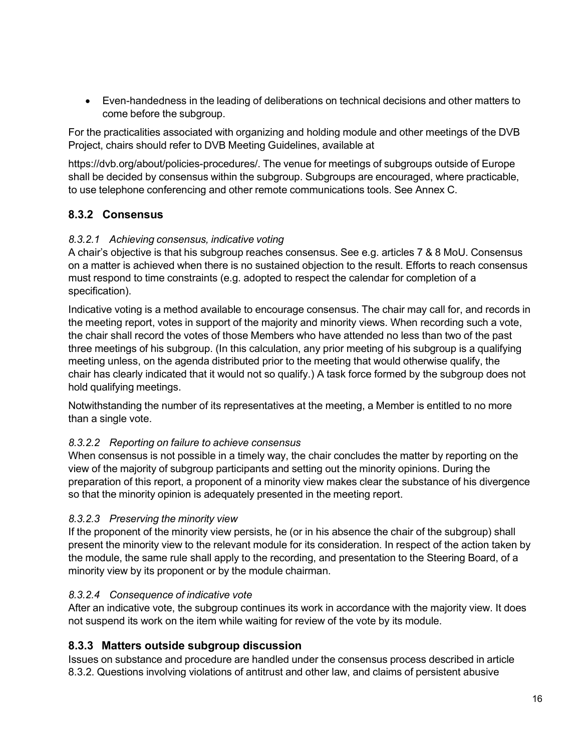• Even-handedness in the leading of deliberations on technical decisions and other matters to come before the subgroup.

For the practicalities associated with organizing and holding module and other meetings of the DVB Project, chairs should refer to DVB Meeting Guidelines, available at

https://dvb.org/about/policies-procedures/. The venue for meetings of subgroups outside of Europe shall be decided by consensus within the subgroup. Subgroups are encouraged, where practicable, to use telephone conferencing and other remote communications tools. See Annex C.

#### <span id="page-15-0"></span>**8.3.2 Consensus**

#### *8.3.2.1 Achieving consensus, indicative voting*

A chair's objective is that his subgroup reaches consensus. See e.g. articles 7 & 8 MoU. Consensus on a matter is achieved when there is no sustained objection to the result. Efforts to reach consensus must respond to time constraints (e.g. adopted to respect the calendar for completion of a specification).

Indicative voting is a method available to encourage consensus. The chair may call for, and records in the meeting report, votes in support of the majority and minority views. When recording such a vote, the chair shall record the votes of those Members who have attended no less than two of the past three meetings of his subgroup. (In this calculation, any prior meeting of his subgroup is a qualifying meeting unless, on the agenda distributed prior to the meeting that would otherwise qualify, the chair has clearly indicated that it would not so qualify.) A task force formed by the subgroup does not hold qualifying meetings.

Notwithstanding the number of its representatives at the meeting, a Member is entitled to no more than a single vote.

#### *8.3.2.2 Reporting on failure to achieve consensus*

When consensus is not possible in a timely way, the chair concludes the matter by reporting on the view of the majority of subgroup participants and setting out the minority opinions. During the preparation of this report, a proponent of a minority view makes clear the substance of his divergence so that the minority opinion is adequately presented in the meeting report.

#### *8.3.2.3 Preserving the minority view*

If the proponent of the minority view persists, he (or in his absence the chair of the subgroup) shall present the minority view to the relevant module for its consideration. In respect of the action taken by the module, the same rule shall apply to the recording, and presentation to the Steering Board, of a minority view by its proponent or by the module chairman.

#### *8.3.2.4 Consequence of indicative vote*

After an indicative vote, the subgroup continues its work in accordance with the majority view. It does not suspend its work on the item while waiting for review of the vote by its module.

#### <span id="page-15-1"></span>**8.3.3 Matters outside subgroup discussion**

Issues on substance and procedure are handled under the consensus process described in article 8.3.2. Questions involving violations of antitrust and other law, and claims of persistent abusive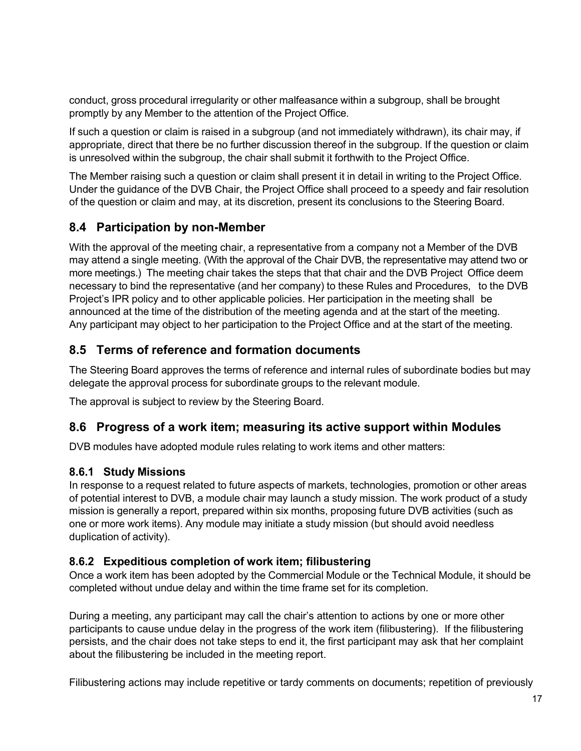conduct, gross procedural irregularity or other malfeasance within a subgroup, shall be brought promptly by any Member to the attention of the Project Office.

If such a question or claim is raised in a subgroup (and not immediately withdrawn), its chair may, if appropriate, direct that there be no further discussion thereof in the subgroup. If the question or claim is unresolved within the subgroup, the chair shall submit it forthwith to the Project Office.

The Member raising such a question or claim shall present it in detail in writing to the Project Office. Under the guidance of the DVB Chair, the Project Office shall proceed to a speedy and fair resolution of the question or claim and may, at its discretion, present its conclusions to the Steering Board.

## <span id="page-16-0"></span>**8.4 Participation by non-Member**

With the approval of the meeting chair, a representative from a company not a Member of the DVB may attend a single meeting. (With the approval of the Chair DVB, the representative may attend two or more meetings.) The meeting chair takes the steps that that chair and the DVB Project Office deem necessary to bind the representative (and her company) to these Rules and Procedures, to the DVB Project's IPR policy and to other applicable policies. Her participation in the meeting shall be announced at the time of the distribution of the meeting agenda and at the start of the meeting. Any participant may object to her participation to the Project Office and at the start of the meeting.

## <span id="page-16-1"></span>**8.5 Terms of reference and formation documents**

The Steering Board approves the terms of reference and internal rules of subordinate bodies but may delegate the approval process for subordinate groups to the relevant module.

The approval is subject to review by the Steering Board.

## <span id="page-16-2"></span>**8.6 Progress of a work item; measuring its active support within Modules**

DVB modules have adopted module rules relating to work items and other matters:

#### <span id="page-16-3"></span>**8.6.1 Study Missions**

In response to a request related to future aspects of markets, technologies, promotion or other areas of potential interest to DVB, a module chair may launch a study mission. The work product of a study mission is generally a report, prepared within six months, proposing future DVB activities (such as one or more work items). Any module may initiate a study mission (but should avoid needless duplication of activity).

#### <span id="page-16-4"></span>**8.6.2 Expeditious completion of work item; filibustering**

Once a work item has been adopted by the Commercial Module or the Technical Module, it should be completed without undue delay and within the time frame set for its completion.

During a meeting, any participant may call the chair's attention to actions by one or more other participants to cause undue delay in the progress of the work item (filibustering). If the filibustering persists, and the chair does not take steps to end it, the first participant may ask that her complaint about the filibustering be included in the meeting report.

Filibustering actions may include repetitive or tardy comments on documents; repetition of previously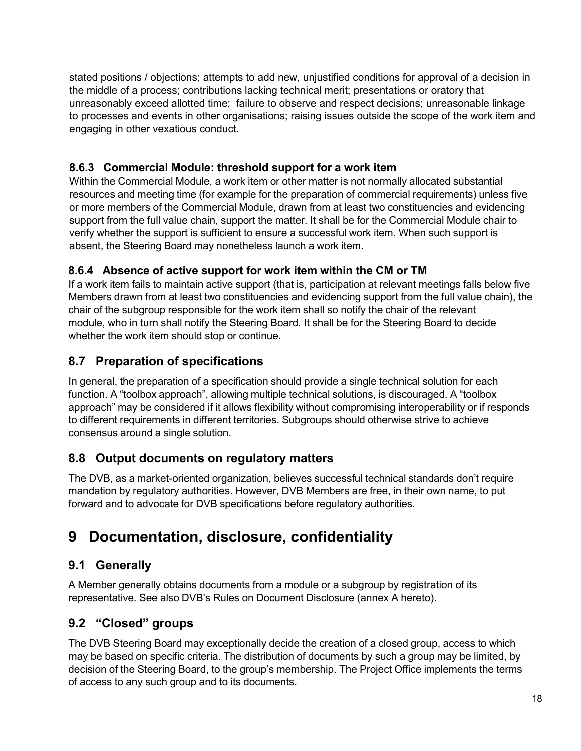stated positions / objections; attempts to add new, unjustified conditions for approval of a decision in the middle of a process; contributions lacking technical merit; presentations or oratory that unreasonably exceed allotted time; failure to observe and respect decisions; unreasonable linkage to processes and events in other organisations; raising issues outside the scope of the work item and engaging in other vexatious conduct.

#### <span id="page-17-0"></span>**8.6.3 Commercial Module: threshold support for a work item**

Within the Commercial Module, a work item or other matter is not normally allocated substantial resources and meeting time (for example for the preparation of commercial requirements) unless five or more members of the Commercial Module, drawn from at least two constituencies and evidencing support from the full value chain, support the matter. It shall be for the Commercial Module chair to verify whether the support is sufficient to ensure a successful work item. When such support is absent, the Steering Board may nonetheless launch a work item.

#### <span id="page-17-1"></span>**8.6.4 Absence of active support for work item within the CM or TM**

If a work item fails to maintain active support (that is, participation at relevant meetings falls below five Members drawn from at least two constituencies and evidencing support from the full value chain), the chair of the subgroup responsible for the work item shall so notify the chair of the relevant module, who in turn shall notify the Steering Board. It shall be for the Steering Board to decide whether the work item should stop or continue.

## <span id="page-17-2"></span>**8.7 Preparation of specifications**

In general, the preparation of a specification should provide a single technical solution for each function. A "toolbox approach", allowing multiple technical solutions, is discouraged. A "toolbox approach" may be considered if it allows flexibility without compromising interoperability or if responds to different requirements in different territories. Subgroups should otherwise strive to achieve consensus around a single solution.

## <span id="page-17-3"></span>**8.8 Output documents on regulatory matters**

The DVB, as a market-oriented organization, believes successful technical standards don't require mandation by regulatory authorities. However, DVB Members are free, in their own name, to put forward and to advocate for DVB specifications before regulatory authorities.

## <span id="page-17-4"></span>**9 Documentation, disclosure, confidentiality**

## <span id="page-17-5"></span>**9.1 Generally**

A Member generally obtains documents from a module or a subgroup by registration of its representative. See also DVB's Rules on Document Disclosure (annex A hereto).

## <span id="page-17-6"></span>**9.2 "Closed" groups**

The DVB Steering Board may exceptionally decide the creation of a closed group, access to which may be based on specific criteria. The distribution of documents by such a group may be limited, by decision of the Steering Board, to the group's membership. The Project Office implements the terms of access to any such group and to its documents.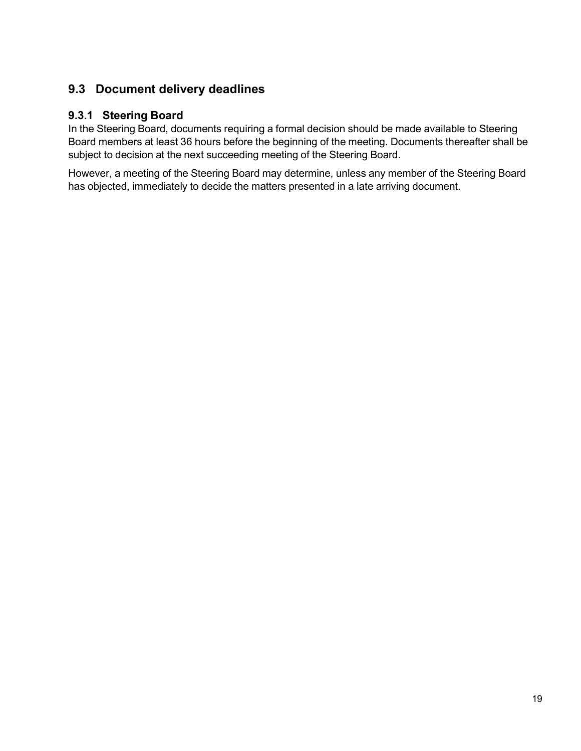## <span id="page-18-0"></span>**9.3 Document delivery deadlines**

#### <span id="page-18-1"></span>**9.3.1 Steering Board**

In the Steering Board, documents requiring a formal decision should be made available to Steering Board members at least 36 hours before the beginning of the meeting. Documents thereafter shall be subject to decision at the next succeeding meeting of the Steering Board.

However, a meeting of the Steering Board may determine, unless any member of the Steering Board has objected, immediately to decide the matters presented in a late arriving document.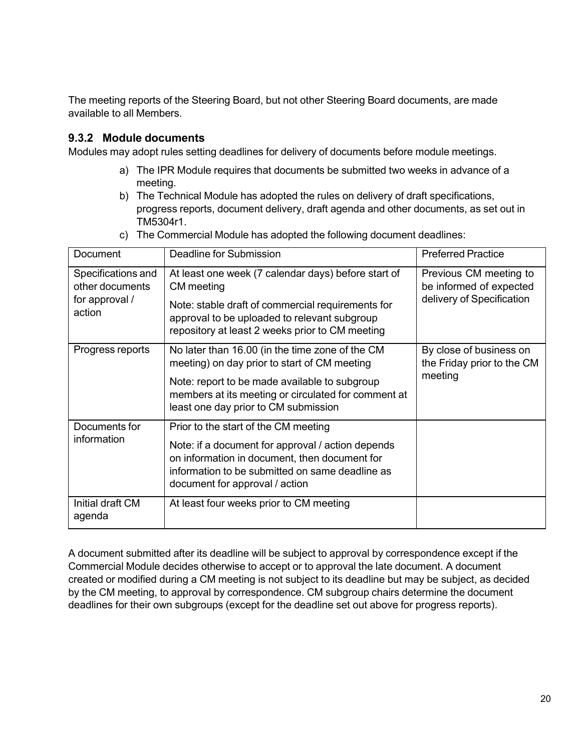The meeting reports of the Steering Board, but not other Steering Board documents, are made available to all Members.

#### <span id="page-19-0"></span>**9.3.2 Module documents**

Modules may adopt rules setting deadlines for delivery of documents before module meetings.

- a) The IPR Module requires that documents be submitted two weeks in advance of a meeting.
- b) The Technical Module has adopted the rules on delivery of draft specifications, progress reports, document delivery, draft agenda and other documents, as set out in TM5304r1.
- c) The Commercial Module has adopted the following document deadlines:

| Document                              | Deadline for Submission                                                                                                                                                                 | <b>Preferred Practice</b>                                                      |
|---------------------------------------|-----------------------------------------------------------------------------------------------------------------------------------------------------------------------------------------|--------------------------------------------------------------------------------|
| Specifications and<br>other documents | At least one week (7 calendar days) before start of<br>CM meeting                                                                                                                       | Previous CM meeting to<br>be informed of expected<br>delivery of Specification |
| for approval /<br>action              | Note: stable draft of commercial requirements for<br>approval to be uploaded to relevant subgroup<br>repository at least 2 weeks prior to CM meeting                                    |                                                                                |
| Progress reports                      | No later than 16.00 (in the time zone of the CM<br>meeting) on day prior to start of CM meeting                                                                                         | By close of business on<br>the Friday prior to the CM                          |
|                                       | Note: report to be made available to subgroup<br>members at its meeting or circulated for comment at<br>least one day prior to CM submission                                            | meeting                                                                        |
| Documents for                         | Prior to the start of the CM meeting                                                                                                                                                    |                                                                                |
| information                           | Note: if a document for approval / action depends<br>on information in document, then document for<br>information to be submitted on same deadline as<br>document for approval / action |                                                                                |
| Initial draft CM<br>agenda            | At least four weeks prior to CM meeting                                                                                                                                                 |                                                                                |

A document submitted after its deadline will be subject to approval by correspondence except if the Commercial Module decides otherwise to accept or to approval the late document. A document created or modified during a CM meeting is not subject to its deadline but may be subject, as decided by the CM meeting, to approval by correspondence. CM subgroup chairs determine the document deadlines for their own subgroups (except for the deadline set out above for progress reports).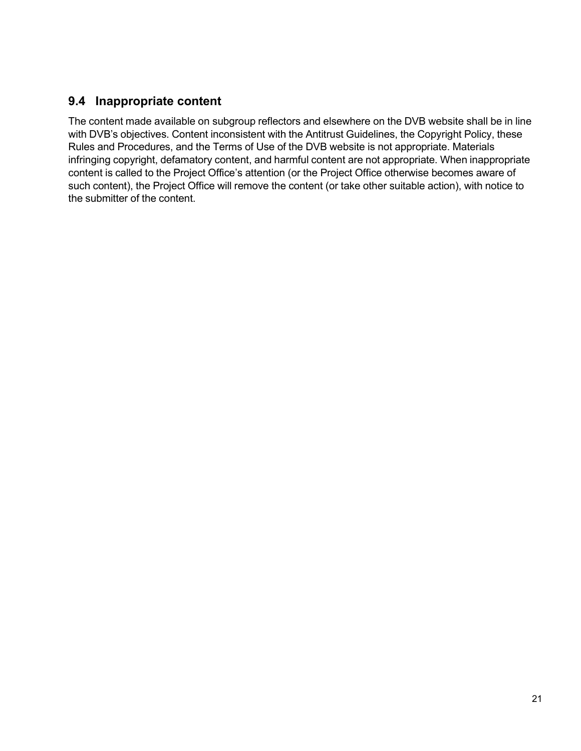## <span id="page-20-0"></span>**9.4 Inappropriate content**

The content made available on subgroup reflectors and elsewhere on the DVB website shall be in line with DVB's objectives. Content inconsistent with the Antitrust Guidelines, the Copyright Policy, these Rules and Procedures, and the Terms of Use of the DVB website is not appropriate. Materials infringing copyright, defamatory content, and harmful content are not appropriate. When inappropriate content is called to the Project Office's attention (or the Project Office otherwise becomes aware of such content), the Project Office will remove the content (or take other suitable action), with notice to the submitter of the content.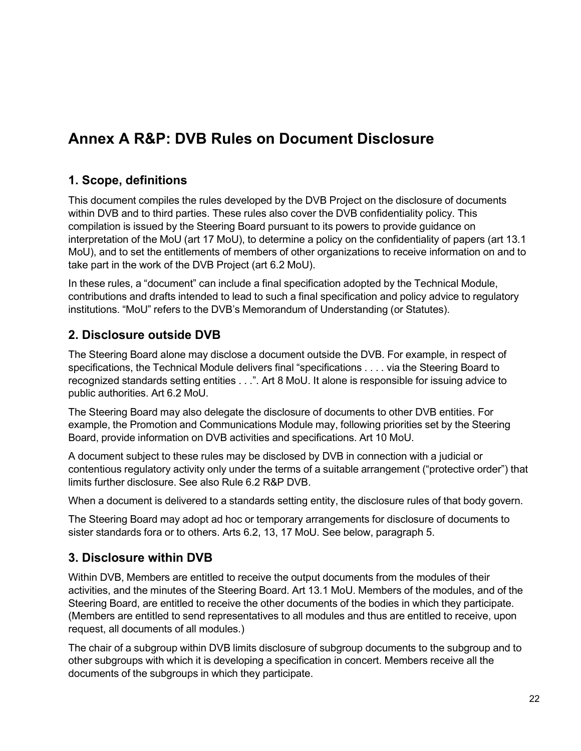# <span id="page-21-0"></span>**Annex A R&P: DVB Rules on Document Disclosure**

## <span id="page-21-1"></span>**1. Scope, definitions**

This document compiles the rules developed by the DVB Project on the disclosure of documents within DVB and to third parties. These rules also cover the DVB confidentiality policy. This compilation is issued by the Steering Board pursuant to its powers to provide guidance on interpretation of the MoU (art 17 MoU), to determine a policy on the confidentiality of papers (art 13.1 MoU), and to set the entitlements of members of other organizations to receive information on and to take part in the work of the DVB Project (art 6.2 MoU).

In these rules, a "document" can include a final specification adopted by the Technical Module, contributions and drafts intended to lead to such a final specification and policy advice to regulatory institutions. "MoU" refers to the DVB's Memorandum of Understanding (or Statutes).

## <span id="page-21-2"></span>**2. Disclosure outside DVB**

The Steering Board alone may disclose a document outside the DVB. For example, in respect of specifications, the Technical Module delivers final "specifications . . . . via the Steering Board to recognized standards setting entities . . .". Art 8 MoU. It alone is responsible for issuing advice to public authorities. Art 6.2 MoU.

The Steering Board may also delegate the disclosure of documents to other DVB entities. For example, the Promotion and Communications Module may, following priorities set by the Steering Board, provide information on DVB activities and specifications. Art 10 MoU.

A document subject to these rules may be disclosed by DVB in connection with a judicial or contentious regulatory activity only under the terms of a suitable arrangement ("protective order") that limits further disclosure. See also Rule 6.2 R&P DVB.

When a document is delivered to a standards setting entity, the disclosure rules of that body govern.

The Steering Board may adopt ad hoc or temporary arrangements for disclosure of documents to sister standards fora or to others. Arts 6.2, 13, 17 MoU. See below, paragraph 5.

## <span id="page-21-3"></span>**3. Disclosure within DVB**

Within DVB, Members are entitled to receive the output documents from the modules of their activities, and the minutes of the Steering Board. Art 13.1 MoU. Members of the modules, and of the Steering Board, are entitled to receive the other documents of the bodies in which they participate. (Members are entitled to send representatives to all modules and thus are entitled to receive, upon request, all documents of all modules.)

The chair of a subgroup within DVB limits disclosure of subgroup documents to the subgroup and to other subgroups with which it is developing a specification in concert. Members receive all the documents of the subgroups in which they participate.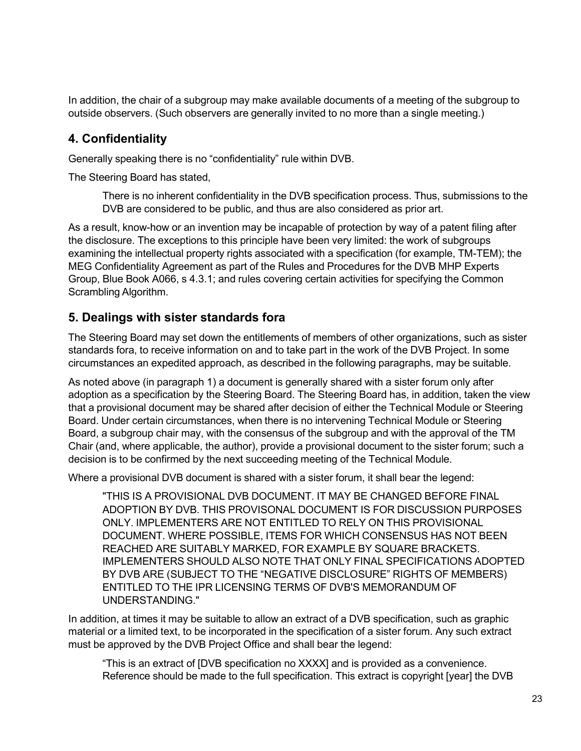In addition, the chair of a subgroup may make available documents of a meeting of the subgroup to outside observers. (Such observers are generally invited to no more than a single meeting.)

## <span id="page-22-0"></span>**4. Confidentiality**

Generally speaking there is no "confidentiality" rule within DVB.

The Steering Board has stated,

There is no inherent confidentiality in the DVB specification process. Thus, submissions to the DVB are considered to be public, and thus are also considered as prior art.

As a result, know-how or an invention may be incapable of protection by way of a patent filing after the disclosure. The exceptions to this principle have been very limited: the work of subgroups examining the intellectual property rights associated with a specification (for example, TM-TEM); the MEG Confidentiality Agreement as part of the Rules and Procedures for the DVB MHP Experts Group, Blue Book A066, s 4.3.1; and rules covering certain activities for specifying the Common Scrambling Algorithm.

## <span id="page-22-1"></span>**5. Dealings with sister standards fora**

The Steering Board may set down the entitlements of members of other organizations, such as sister standards fora, to receive information on and to take part in the work of the DVB Project. In some circumstances an expedited approach, as described in the following paragraphs, may be suitable.

As noted above (in paragraph 1) a document is generally shared with a sister forum only after adoption as a specification by the Steering Board. The Steering Board has, in addition, taken the view that a provisional document may be shared after decision of either the Technical Module or Steering Board. Under certain circumstances, when there is no intervening Technical Module or Steering Board, a subgroup chair may, with the consensus of the subgroup and with the approval of the TM Chair (and, where applicable, the author), provide a provisional document to the sister forum; such a decision is to be confirmed by the next succeeding meeting of the Technical Module.

Where a provisional DVB document is shared with a sister forum, it shall bear the legend:

"THIS IS A PROVISIONAL DVB DOCUMENT. IT MAY BE CHANGED BEFORE FINAL ADOPTION BY DVB. THIS PROVISONAL DOCUMENT IS FOR DISCUSSION PURPOSES ONLY. IMPLEMENTERS ARE NOT ENTITLED TO RELY ON THIS PROVISIONAL DOCUMENT. WHERE POSSIBLE, ITEMS FOR WHICH CONSENSUS HAS NOT BEEN REACHED ARE SUITABLY MARKED, FOR EXAMPLE BY SQUARE BRACKETS. IMPLEMENTERS SHOULD ALSO NOTE THAT ONLY FINAL SPECIFICATIONS ADOPTED BY DVB ARE (SUBJECT TO THE "NEGATIVE DISCLOSURE" RIGHTS OF MEMBERS) ENTITLED TO THE IPR LICENSING TERMS OF DVB'S MEMORANDUM OF UNDERSTANDING."

In addition, at times it may be suitable to allow an extract of a DVB specification, such as graphic material or a limited text, to be incorporated in the specification of a sister forum. Any such extract must be approved by the DVB Project Office and shall bear the legend:

"This is an extract of [DVB specification no XXXX] and is provided as a convenience. Reference should be made to the full specification. This extract is copyright [year] the DVB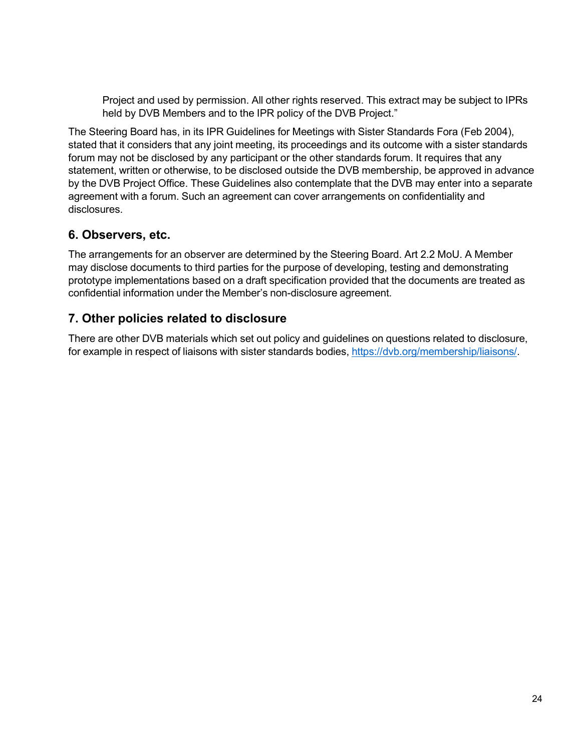Project and used by permission. All other rights reserved. This extract may be subject to IPRs held by DVB Members and to the IPR policy of the DVB Project."

The Steering Board has, in its IPR Guidelines for Meetings with Sister Standards Fora (Feb 2004), stated that it considers that any joint meeting, its proceedings and its outcome with a sister standards forum may not be disclosed by any participant or the other standards forum. It requires that any statement, written or otherwise, to be disclosed outside the DVB membership, be approved in advance by the DVB Project Office. These Guidelines also contemplate that the DVB may enter into a separate agreement with a forum. Such an agreement can cover arrangements on confidentiality and disclosures.

## <span id="page-23-0"></span>**6. Observers, etc.**

The arrangements for an observer are determined by the Steering Board. Art 2.2 MoU. A Member may disclose documents to third parties for the purpose of developing, testing and demonstrating prototype implementations based on a draft specification provided that the documents are treated as confidential information under the Member's non-disclosure agreement.

## <span id="page-23-1"></span>**7. Other policies related to disclosure**

There are other DVB materials which set out policy and guidelines on questions related to disclosure, for example in respect of liaisons with sister standards bodies, [https://dvb.org/membership/liaisons/.](https://dvb.org/membership/liaisons/)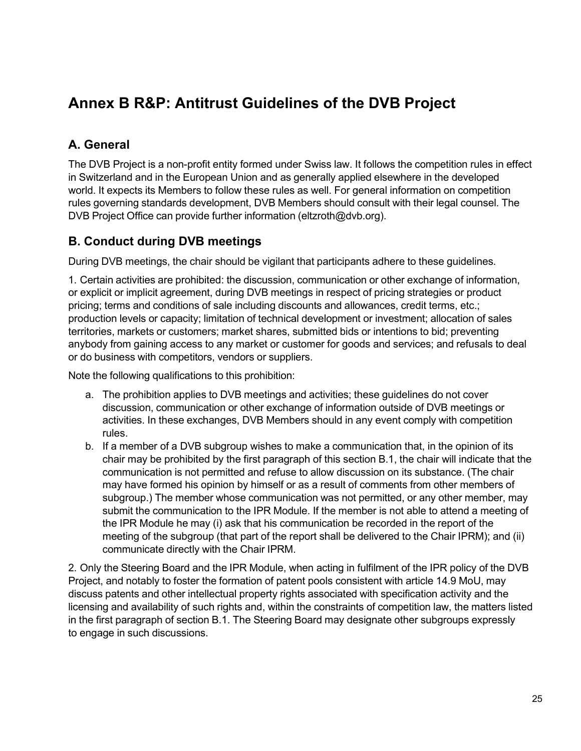# <span id="page-24-0"></span>**Annex B R&P: Antitrust Guidelines of the DVB Project**

## <span id="page-24-1"></span>**A. General**

The DVB Project is a non-profit entity formed under Swiss law. It follows the competition rules in effect in Switzerland and in the European Union and as generally applied elsewhere in the developed world. It expects its Members to follow these rules as well. For general information on competition rules governing standards development, DVB Members should consult with their legal counsel. The DVB Project Office can provide further information (eltzroth@dvb.org).

## <span id="page-24-2"></span>**B. Conduct during DVB meetings**

During DVB meetings, the chair should be vigilant that participants adhere to these guidelines.

1. Certain activities are prohibited: the discussion, communication or other exchange of information, or explicit or implicit agreement, during DVB meetings in respect of pricing strategies or product pricing; terms and conditions of sale including discounts and allowances, credit terms, etc.; production levels or capacity; limitation of technical development or investment; allocation of sales territories, markets or customers; market shares, submitted bids or intentions to bid; preventing anybody from gaining access to any market or customer for goods and services; and refusals to deal or do business with competitors, vendors or suppliers.

Note the following qualifications to this prohibition:

- a. The prohibition applies to DVB meetings and activities; these guidelines do not cover discussion, communication or other exchange of information outside of DVB meetings or activities. In these exchanges, DVB Members should in any event comply with competition rules.
- b. If a member of a DVB subgroup wishes to make a communication that, in the opinion of its chair may be prohibited by the first paragraph of this section B.1, the chair will indicate that the communication is not permitted and refuse to allow discussion on its substance. (The chair may have formed his opinion by himself or as a result of comments from other members of subgroup.) The member whose communication was not permitted, or any other member, may submit the communication to the IPR Module. If the member is not able to attend a meeting of the IPR Module he may (i) ask that his communication be recorded in the report of the meeting of the subgroup (that part of the report shall be delivered to the Chair IPRM); and (ii) communicate directly with the Chair IPRM.

2. Only the Steering Board and the IPR Module, when acting in fulfilment of the IPR policy of the DVB Project, and notably to foster the formation of patent pools consistent with article 14.9 MoU, may discuss patents and other intellectual property rights associated with specification activity and the licensing and availability of such rights and, within the constraints of competition law, the matters listed in the first paragraph of section B.1. The Steering Board may designate other subgroups expressly to engage in such discussions.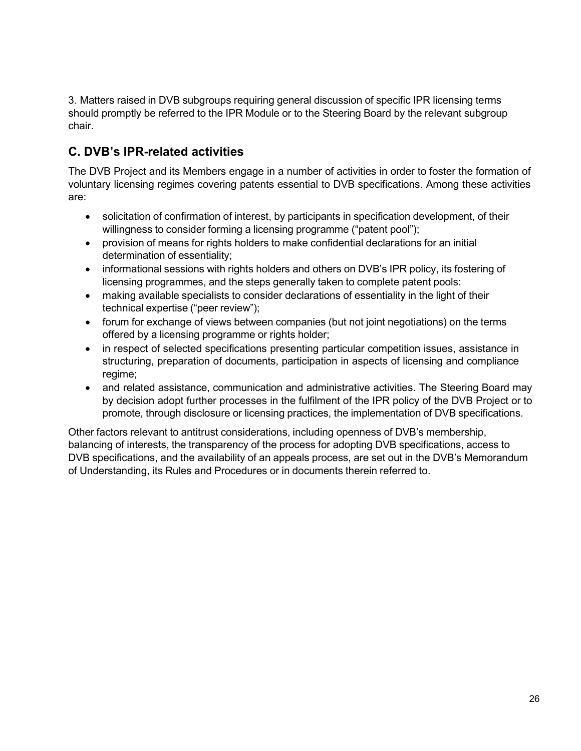3. Matters raised in DVB subgroups requiring general discussion of specific IPR licensing terms should promptly be referred to the IPR Module or to the Steering Board by the relevant subgroup chair.

## <span id="page-25-0"></span>**C. DVB's IPR-related activities**

The DVB Project and its Members engage in a number of activities in order to foster the formation of voluntary licensing regimes covering patents essential to DVB specifications. Among these activities are:

- solicitation of confirmation of interest, by participants in specification development, of their willingness to consider forming a licensing programme ("patent pool");
- provision of means for rights holders to make confidential declarations for an initial determination of essentiality;
- informational sessions with rights holders and others on DVB's IPR policy, its fostering of licensing programmes, and the steps generally taken to complete patent pools:
- making available specialists to consider declarations of essentiality in the light of their technical expertise ("peer review");
- forum for exchange of views between companies (but not joint negotiations) on the terms offered by a licensing programme or rights holder;
- in respect of selected specifications presenting particular competition issues, assistance in structuring, preparation of documents, participation in aspects of licensing and compliance regime;
- and related assistance, communication and administrative activities. The Steering Board may by decision adopt further processes in the fulfilment of the IPR policy of the DVB Project or to promote, through disclosure or licensing practices, the implementation of DVB specifications.

Other factors relevant to antitrust considerations, including openness of DVB's membership, balancing of interests, the transparency of the process for adopting DVB specifications, access to DVB specifications, and the availability of an appeals process, are set out in the DVB's Memorandum of Understanding, its Rules and Procedures or in documents therein referred to.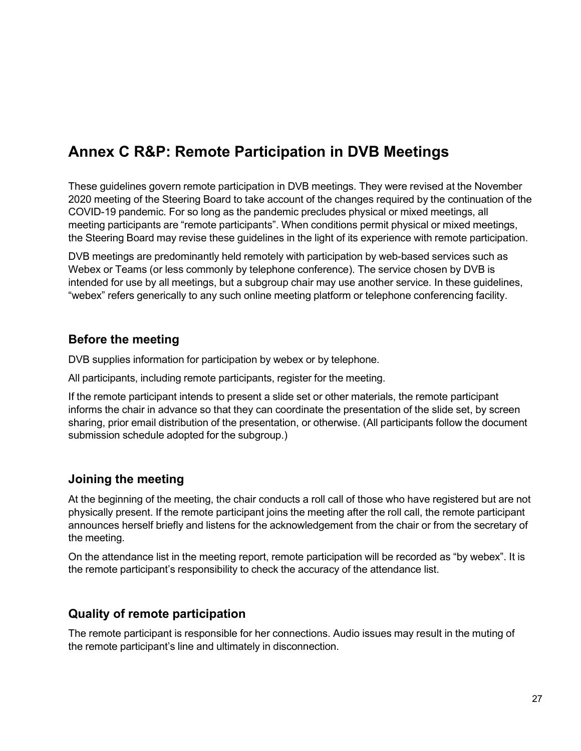# <span id="page-26-0"></span>**Annex C R&P: Remote Participation in DVB Meetings**

These guidelines govern remote participation in DVB meetings. They were revised at the November 2020 meeting of the Steering Board to take account of the changes required by the continuation of the COVID-19 pandemic. For so long as the pandemic precludes physical or mixed meetings, all meeting participants are "remote participants". When conditions permit physical or mixed meetings, the Steering Board may revise these guidelines in the light of its experience with remote participation.

DVB meetings are predominantly held remotely with participation by web-based services such as Webex or Teams (or less commonly by telephone conference). The service chosen by DVB is intended for use by all meetings, but a subgroup chair may use another service. In these guidelines, "webex" refers generically to any such online meeting platform or telephone conferencing facility.

#### <span id="page-26-1"></span>**Before the meeting**

DVB supplies information for participation by webex or by telephone.

All participants, including remote participants, register for the meeting.

If the remote participant intends to present a slide set or other materials, the remote participant informs the chair in advance so that they can coordinate the presentation of the slide set, by screen sharing, prior email distribution of the presentation, or otherwise. (All participants follow the document submission schedule adopted for the subgroup.)

## <span id="page-26-2"></span>**Joining the meeting**

At the beginning of the meeting, the chair conducts a roll call of those who have registered but are not physically present. If the remote participant joins the meeting after the roll call, the remote participant announces herself briefly and listens for the acknowledgement from the chair or from the secretary of the meeting.

On the attendance list in the meeting report, remote participation will be recorded as "by webex". It is the remote participant's responsibility to check the accuracy of the attendance list.

## <span id="page-26-3"></span>**Quality of remote participation**

The remote participant is responsible for her connections. Audio issues may result in the muting of the remote participant's line and ultimately in disconnection.